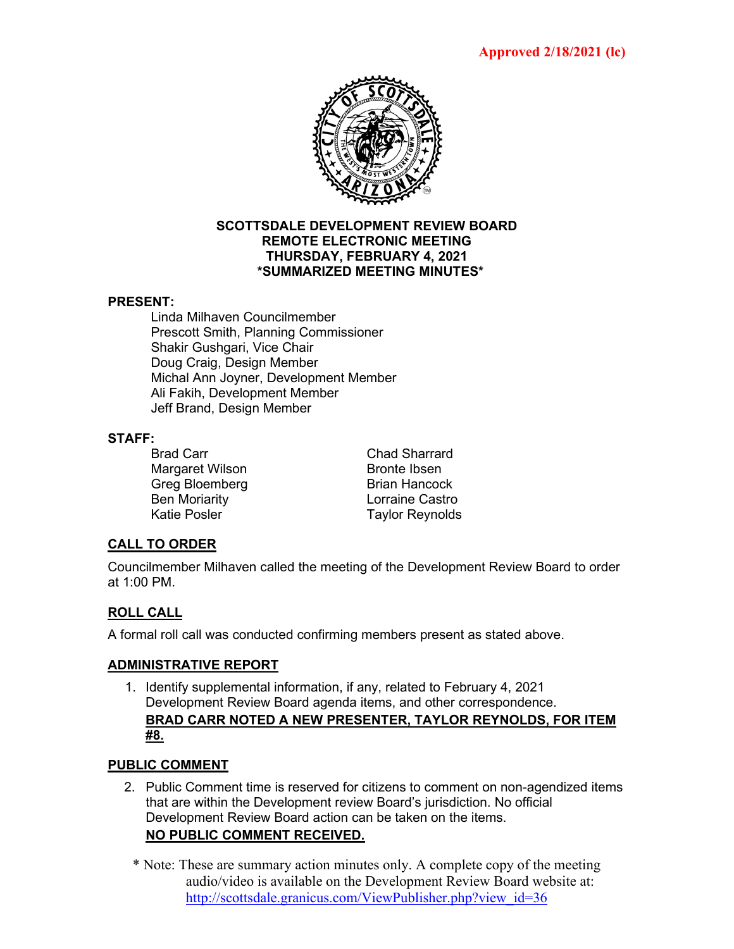

#### **SCOTTSDALE DEVELOPMENT REVIEW BOARD REMOTE ELECTRONIC MEETING THURSDAY, FEBRUARY 4, 2021 \*SUMMARIZED MEETING MINUTES\***

#### **PRESENT:**

Linda Milhaven Councilmember Prescott Smith, Planning Commissioner Shakir Gushgari, Vice Chair Doug Craig, Design Member Michal Ann Joyner, Development Member Ali Fakih, Development Member Jeff Brand, Design Member

# **STAFF:**

Margaret Wilson Bronte Ibsen Greg Bloemberg Brian Hancock Ben Moriarity **Desiminary Exercise Castro**<br>Katie Posler **Castro Castro Castro Castro Castro Castro Castro Castro Castro Castro Castro Castro Castro Castro** 

Chad Sharrard **Taylor Reynolds** 

#### **CALL TO ORDER**

Councilmember Milhaven called the meeting of the Development Review Board to order at 1:00 PM.

## **ROLL CALL**

A formal roll call was conducted confirming members present as stated above.

#### **ADMINISTRATIVE REPORT**

1. Identify supplemental information, if any, related to February 4, 2021 Development Review Board agenda items, and other correspondence. **BRAD CARR NOTED A NEW PRESENTER, TAYLOR REYNOLDS, FOR ITEM #8.**

#### **PUBLIC COMMENT**

- 2. Public Comment time is reserved for citizens to comment on non-agendized items that are within the Development review Board's jurisdiction. No official Development Review Board action can be taken on the items. **NO PUBLIC COMMENT RECEIVED.**
	- \* Note: These are summary action minutes only. A complete copy of the meeting audio/video is available on the Development Review Board website at: [http://scottsdale.granicus.com/ViewPublisher.php?view\\_id=36](http://scottsdale.granicus.com/ViewPublisher.php?view_id=36)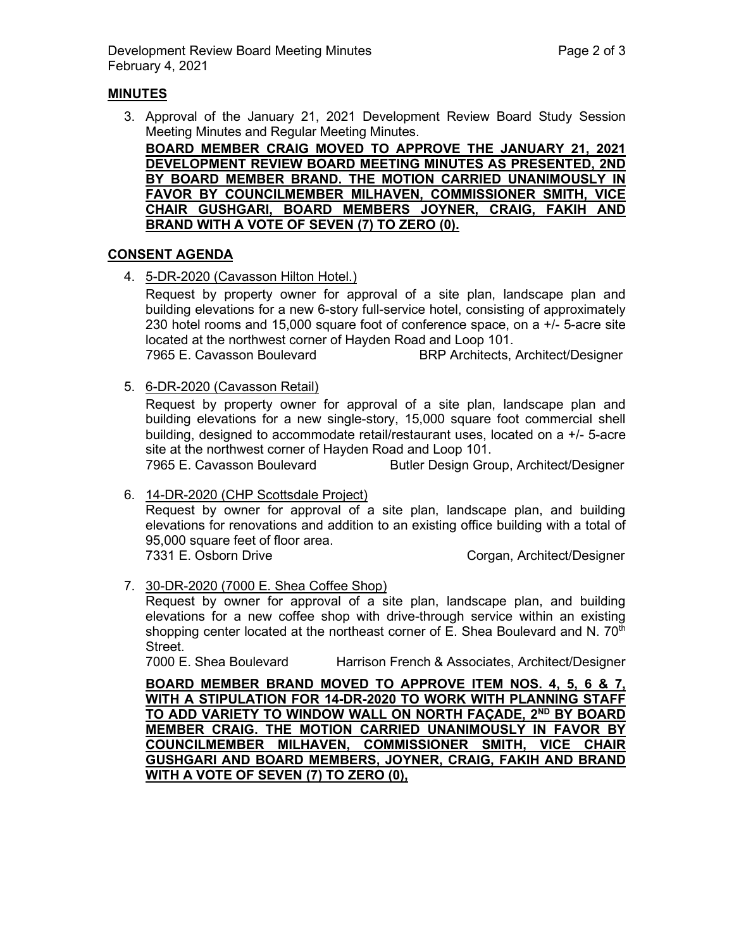#### **MINUTES**

3. Approval of the January 21, 2021 Development Review Board Study Session Meeting Minutes and Regular Meeting Minutes.

**BOARD MEMBER CRAIG MOVED TO APPROVE THE JANUARY 21, 2021 DEVELOPMENT REVIEW BOARD MEETING MINUTES AS PRESENTED, 2ND BY BOARD MEMBER BRAND. THE MOTION CARRIED UNANIMOUSLY IN FAVOR BY COUNCILMEMBER MILHAVEN, COMMISSIONER SMITH, VICE CHAIR GUSHGARI, BOARD MEMBERS JOYNER, CRAIG, FAKIH AND BRAND WITH A VOTE OF SEVEN (7) TO ZERO (0).**

#### **CONSENT AGENDA**

4. 5-DR-2020 (Cavasson Hilton Hotel.)

Request by property owner for approval of a site plan, landscape plan and building elevations for a new 6-story full-service hotel, consisting of approximately 230 hotel rooms and 15,000 square foot of conference space, on a +/- 5-acre site located at the northwest corner of Hayden Road and Loop 101.

7965 E. Cavasson Boulevard BRP Architects, Architect/Designer

5. 6-DR-2020 (Cavasson Retail)

Request by property owner for approval of a site plan, landscape plan and building elevations for a new single-story, 15,000 square foot commercial shell building, designed to accommodate retail/restaurant uses, located on a +/- 5-acre site at the northwest corner of Hayden Road and Loop 101.

7965 E. Cavasson Boulevard Butler Design Group, Architect/Designer

#### 6. 14-DR-2020 (CHP Scottsdale Project)

Request by owner for approval of a site plan, landscape plan, and building elevations for renovations and addition to an existing office building with a total of 95,000 square feet of floor area.

7331 E. Osborn Drive Corgan, Architect/Designer

#### 7. 30-DR-2020 (7000 E. Shea Coffee Shop)

Request by owner for approval of a site plan, landscape plan, and building elevations for a new coffee shop with drive-through service within an existing shopping center located at the northeast corner of E. Shea Boulevard and N.  $70<sup>th</sup>$ Street.

7000 E. Shea Boulevard Harrison French & Associates, Architect/Designer

**BOARD MEMBER BRAND MOVED TO APPROVE ITEM NOS. 4, 5, 6 & 7, WITH A STIPULATION FOR 14-DR-2020 TO WORK WITH PLANNING STAFF TO ADD VARIETY TO WINDOW WALL ON NORTH FAÇADE, 2ND BY BOARD MEMBER CRAIG. THE MOTION CARRIED UNANIMOUSLY IN FAVOR BY COUNCILMEMBER MILHAVEN, COMMISSIONER SMITH, VICE CHAIR GUSHGARI AND BOARD MEMBERS, JOYNER, CRAIG, FAKIH AND BRAND WITH A VOTE OF SEVEN (7) TO ZERO (0),**